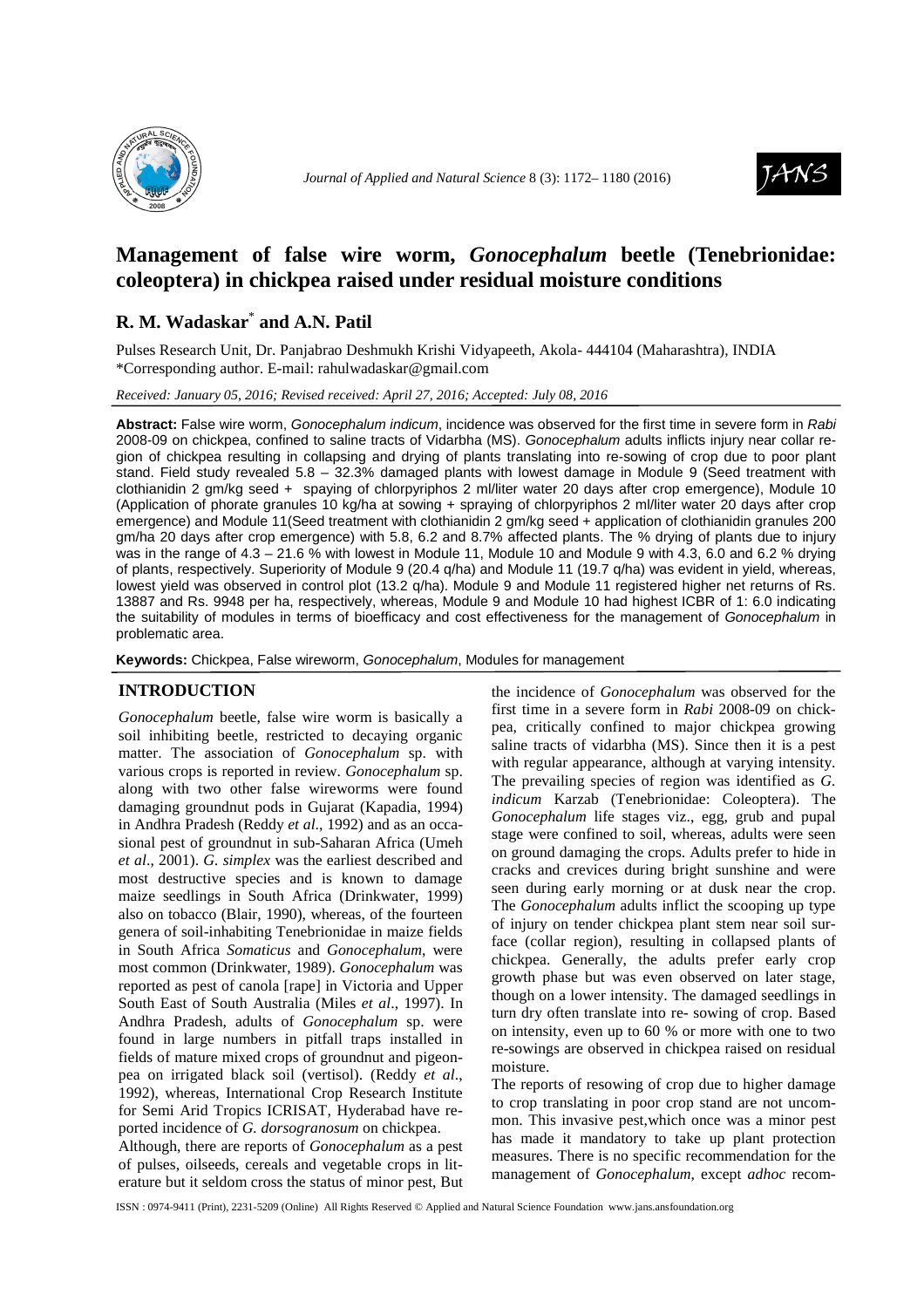



# **Management of false wire worm,** *Gonocephalum* **beetle (Tenebrionidae: coleoptera) in chickpea raised under residual moisture conditions**

## **R. M. Wadaskar**\*  **and A.N. Patil**

Pulses Research Unit, Dr. Panjabrao Deshmukh Krishi Vidyapeeth, Akola- 444104 (Maharashtra), INDIA \*Corresponding author. E-mail: rahulwadaskar@gmail.com

*Received: January 05, 2016; Revised received: April 27, 2016; Accepted: July 08, 2016*

**Abstract:** False wire worm, Gonocephalum indicum, incidence was observed for the first time in severe form in Rabi 2008-09 on chickpea, confined to saline tracts of Vidarbha (MS). Gonocephalum adults inflicts injury near collar region of chickpea resulting in collapsing and drying of plants translating into re-sowing of crop due to poor plant stand. Field study revealed 5.8 – 32.3% damaged plants with lowest damage in Module 9 (Seed treatment with clothianidin 2 gm/kg seed + spaying of chlorpyriphos 2 ml/liter water 20 days after crop emergence), Module 10 (Application of phorate granules 10 kg/ha at sowing + spraying of chlorpyriphos 2 ml/liter water 20 days after crop emergence) and Module 11(Seed treatment with clothianidin 2 gm/kg seed + application of clothianidin granules 200 gm/ha 20 days after crop emergence) with 5.8, 6.2 and 8.7% affected plants. The % drying of plants due to injury was in the range of 4.3 – 21.6 % with lowest in Module 11, Module 10 and Module 9 with 4.3, 6.0 and 6.2 % drying of plants, respectively. Superiority of Module 9 (20.4 q/ha) and Module 11 (19.7 q/ha) was evident in yield, whereas, lowest yield was observed in control plot (13.2 q/ha). Module 9 and Module 11 registered higher net returns of Rs. 13887 and Rs. 9948 per ha, respectively, whereas, Module 9 and Module 10 had highest ICBR of 1: 6.0 indicating the suitability of modules in terms of bioefficacy and cost effectiveness for the management of Gonocephalum in problematic area.

**Keywords:** Chickpea, False wireworm, Gonocephalum, Modules for management

## **INTRODUCTION**

*Gonocephalum* beetle, false wire worm is basically a soil inhibiting beetle, restricted to decaying organic matter. The association of *Gonocephalum* sp. with various crops is reported in review. *Gonocephalum* sp. along with two other false wireworms were found damaging groundnut pods in Gujarat (Kapadia, 1994) in Andhra Pradesh (Reddy *et al*., 1992) and as an occasional pest of groundnut in sub-Saharan Africa (Umeh *et al*., 2001). *G. simplex* was the earliest described and most destructive species and is known to damage maize seedlings in South Africa (Drinkwater, 1999) also on tobacco (Blair, 1990), whereas, of the fourteen genera of soil-inhabiting Tenebrionidae in maize fields in South Africa *Somaticus* and *Gonocephalum*, were most common (Drinkwater, 1989). *Gonocephalum* was reported as pest of canola [rape] in Victoria and Upper South East of South Australia (Miles *et al*., 1997). In Andhra Pradesh, adults of *Gonocephalum* sp. were found in large numbers in pitfall traps installed in fields of mature mixed crops of groundnut and pigeonpea on irrigated black soil (vertisol). (Reddy *et al*., 1992), whereas, International Crop Research Institute for Semi Arid Tropics ICRISAT, Hyderabad have reported incidence of *G. dorsogranosum* on chickpea.

Although, there are reports of *Gonocephalum* as a pest of pulses, oilseeds, cereals and vegetable crops in literature but it seldom cross the status of minor pest, But

the incidence of *Gonocephalum* was observed for the first time in a severe form in *Rabi* 2008-09 on chickpea, critically confined to major chickpea growing saline tracts of vidarbha (MS). Since then it is a pest with regular appearance, although at varying intensity. The prevailing species of region was identified as *G. indicum* Karzab (Tenebrionidae: Coleoptera). The *Gonocephalum* life stages viz., egg, grub and pupal stage were confined to soil, whereas, adults were seen on ground damaging the crops. Adults prefer to hide in cracks and crevices during bright sunshine and were seen during early morning or at dusk near the crop. The *Gonocephalum* adults inflict the scooping up type of injury on tender chickpea plant stem near soil surface (collar region), resulting in collapsed plants of chickpea. Generally, the adults prefer early crop growth phase but was even observed on later stage, though on a lower intensity. The damaged seedlings in turn dry often translate into re- sowing of crop. Based on intensity, even up to 60 % or more with one to two re-sowings are observed in chickpea raised on residual moisture.

The reports of resowing of crop due to higher damage to crop translating in poor crop stand are not uncommon. This invasive pest,which once was a minor pest has made it mandatory to take up plant protection measures. There is no specific recommendation for the management of *Gonocephalum*, except *adhoc* recom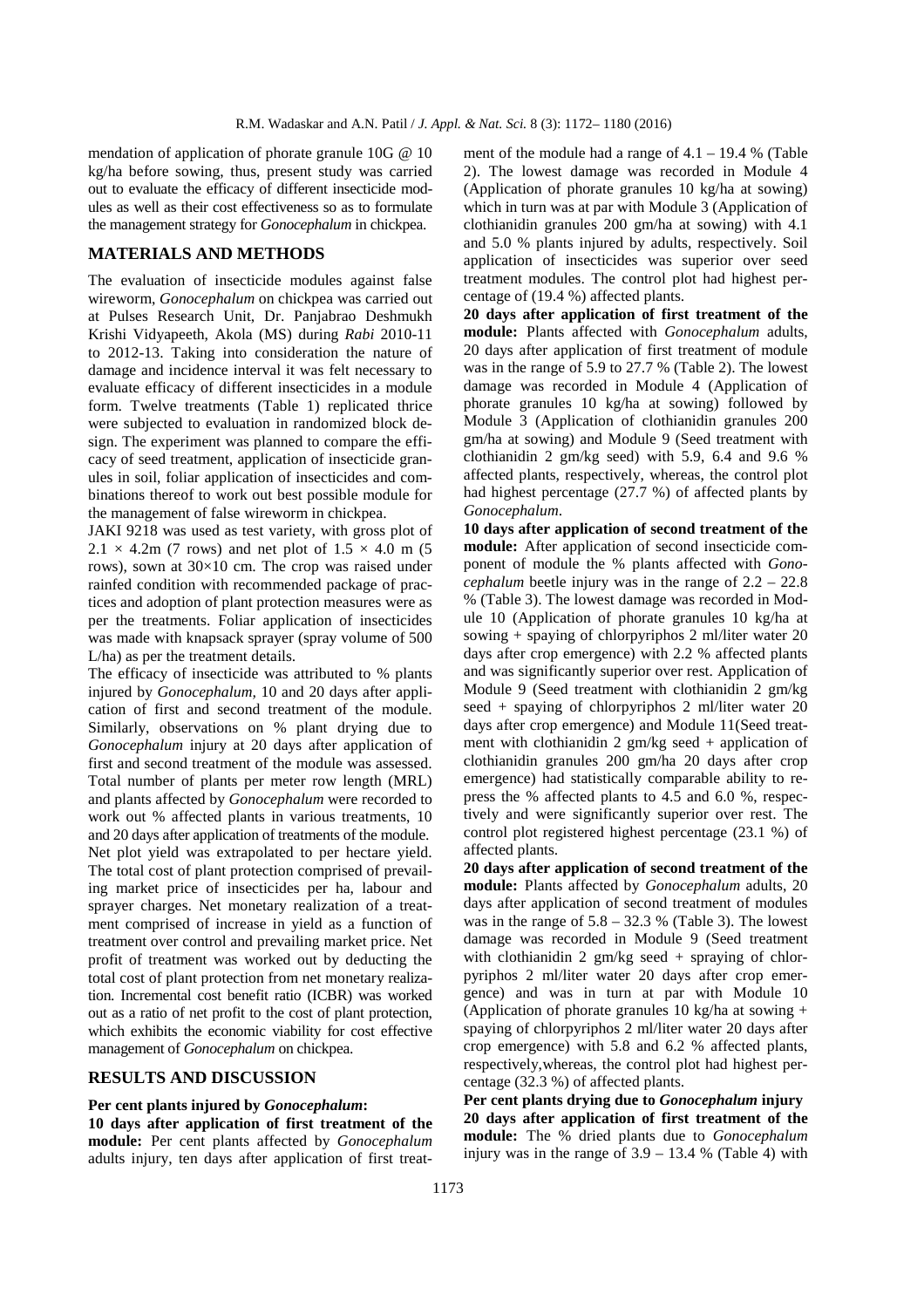mendation of application of phorate granule 10G @ 10 kg/ha before sowing, thus, present study was carried out to evaluate the efficacy of different insecticide modules as well as their cost effectiveness so as to formulate the management strategy for *Gonocephalum* in chickpea.

## **MATERIALS AND METHODS**

The evaluation of insecticide modules against false wireworm, *Gonocephalum* on chickpea was carried out at Pulses Research Unit, Dr. Panjabrao Deshmukh Krishi Vidyapeeth, Akola (MS) during *Rabi* 2010-11 to 2012-13. Taking into consideration the nature of damage and incidence interval it was felt necessary to evaluate efficacy of different insecticides in a module form. Twelve treatments (Table 1) replicated thrice were subjected to evaluation in randomized block design. The experiment was planned to compare the efficacy of seed treatment, application of insecticide granules in soil, foliar application of insecticides and combinations thereof to work out best possible module for the management of false wireworm in chickpea.

JAKI 9218 was used as test variety, with gross plot of  $2.1 \times 4.2$ m (7 rows) and net plot of  $1.5 \times 4.0$  m (5 rows), sown at 30×10 cm. The crop was raised under rainfed condition with recommended package of practices and adoption of plant protection measures were as per the treatments. Foliar application of insecticides was made with knapsack sprayer (spray volume of 500 L/ha) as per the treatment details.

The efficacy of insecticide was attributed to % plants injured by *Gonocephalum,* 10 and 20 days after application of first and second treatment of the module. Similarly, observations on % plant drying due to *Gonocephalum* injury at 20 days after application of first and second treatment of the module was assessed. Total number of plants per meter row length (MRL) and plants affected by *Gonocephalum* were recorded to work out % affected plants in various treatments, 10 and 20 days after application of treatments of the module. Net plot yield was extrapolated to per hectare yield. The total cost of plant protection comprised of prevailing market price of insecticides per ha, labour and sprayer charges. Net monetary realization of a treatment comprised of increase in yield as a function of treatment over control and prevailing market price. Net profit of treatment was worked out by deducting the total cost of plant protection from net monetary realization. Incremental cost benefit ratio (ICBR) was worked out as a ratio of net profit to the cost of plant protection, which exhibits the economic viability for cost effective management of *Gonocephalum* on chickpea.

## **RESULTS AND DISCUSSION**

#### **Per cent plants injured by** *Gonocephalum***: 10 days after application of first treatment of the module:** Per cent plants affected by *Gonocephalum* adults injury, ten days after application of first treat-

ment of the module had a range of  $4.1 - 19.4$  % (Table 2). The lowest damage was recorded in Module 4 (Application of phorate granules 10 kg/ha at sowing) which in turn was at par with Module 3 (Application of clothianidin granules 200 gm/ha at sowing) with 4.1 and 5.0 % plants injured by adults, respectively. Soil application of insecticides was superior over seed treatment modules. The control plot had highest percentage of (19.4 %) affected plants.

**20 days after application of first treatment of the module:** Plants affected with *Gonocephalum* adults, 20 days after application of first treatment of module was in the range of 5.9 to 27.7 % (Table 2). The lowest damage was recorded in Module 4 (Application of phorate granules 10 kg/ha at sowing) followed by Module 3 (Application of clothianidin granules 200 gm/ha at sowing) and Module 9 (Seed treatment with clothianidin 2 gm/kg seed) with 5.9, 6.4 and 9.6 % affected plants, respectively, whereas, the control plot had highest percentage (27.7 %) of affected plants by *Gonocephalum*.

**10 days after application of second treatment of the module:** After application of second insecticide component of module the % plants affected with *Gonocephalum* beetle injury was in the range of 2.2 – 22.8 % (Table 3). The lowest damage was recorded in Module 10 (Application of phorate granules 10 kg/ha at sowing + spaying of chlorpyriphos 2 ml/liter water 20 days after crop emergence) with 2.2 % affected plants and was significantly superior over rest. Application of Module 9 (Seed treatment with clothianidin 2 gm/kg seed + spaying of chlorpyriphos 2 ml/liter water 20 days after crop emergence) and Module 11(Seed treatment with clothianidin 2  $gm/kg$  seed + application of clothianidin granules 200 gm/ha 20 days after crop emergence) had statistically comparable ability to repress the % affected plants to 4.5 and 6.0 %, respectively and were significantly superior over rest. The control plot registered highest percentage (23.1 %) of affected plants.

**20 days after application of second treatment of the module:** Plants affected by *Gonocephalum* adults, 20 days after application of second treatment of modules was in the range of  $5.8 - 32.3$  % (Table 3). The lowest damage was recorded in Module 9 (Seed treatment with clothianidin 2  $gm/kg$  seed + spraying of chlorpyriphos 2 ml/liter water 20 days after crop emergence) and was in turn at par with Module 10 (Application of phorate granules 10 kg/ha at sowing  $+$ spaying of chlorpyriphos 2 ml/liter water 20 days after crop emergence) with 5.8 and 6.2 % affected plants, respectively,whereas, the control plot had highest percentage (32.3 %) of affected plants.

**Per cent plants drying due to** *Gonocephalum* **injury 20 days after application of first treatment of the module:** The % dried plants due to *Gonocephalum* injury was in the range of  $3.9 - 13.4$  % (Table 4) with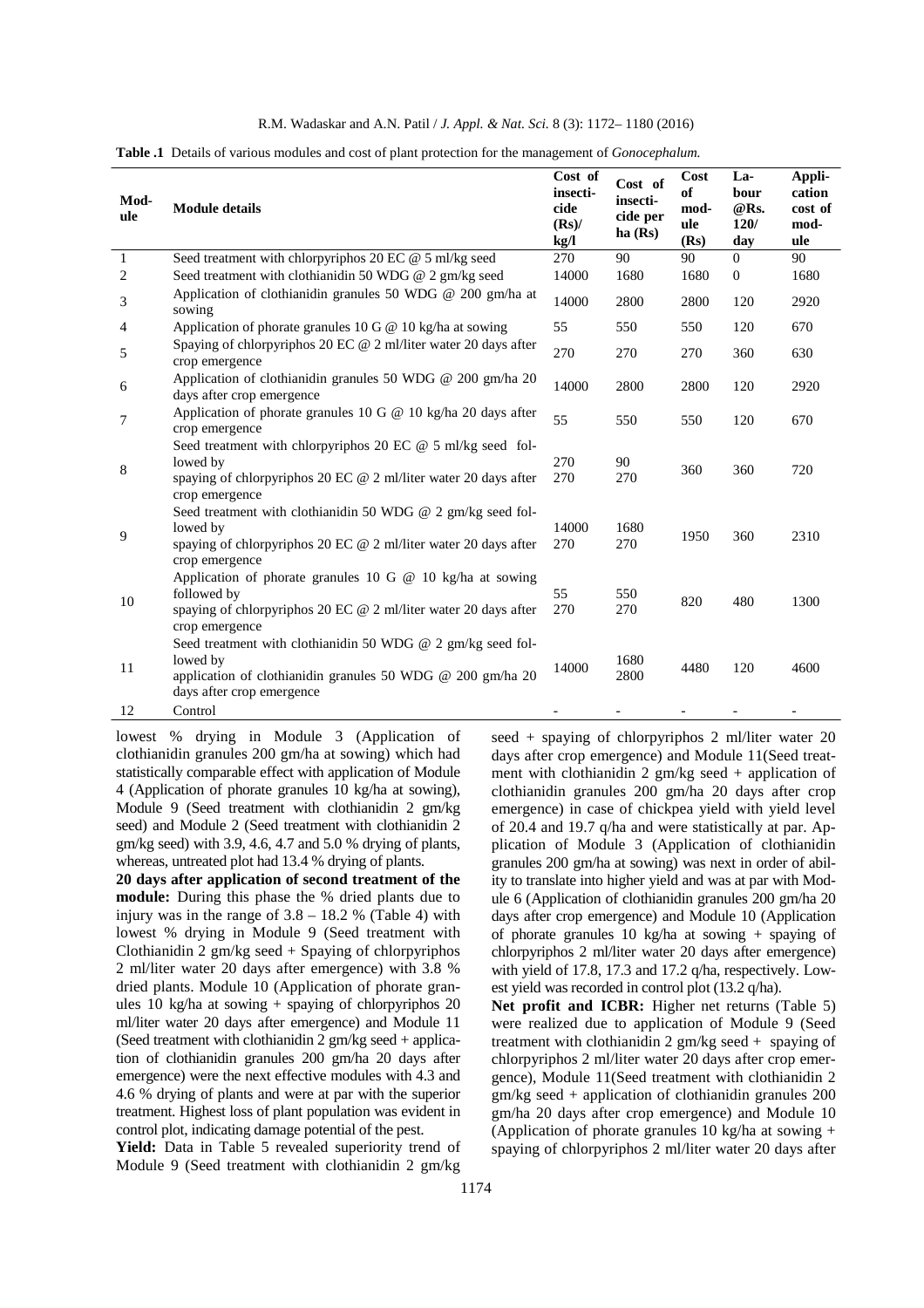|  | R.M. Wadaskar and A.N. Patil / <i>J. Appl. &amp; Nat. Sci.</i> 8 (3): 1172–1180 (2016) |  |  |  |  |  |  |  |  |  |
|--|----------------------------------------------------------------------------------------|--|--|--|--|--|--|--|--|--|
|--|----------------------------------------------------------------------------------------|--|--|--|--|--|--|--|--|--|

| Mod-<br>ule    | <b>Module details</b>                                                                                                                                                  | Cost of<br>insecti-<br>cide<br>$(Rs)$ /<br>kg/l | Cost of<br>insecti-<br>cide per<br>ha(Rs) | Cost<br>of<br>mod-<br>ule<br>(Rs) | La-<br>bour<br>@Rs.<br>120/<br>day | Appli-<br>cation<br>cost of<br>mod-<br>ule |
|----------------|------------------------------------------------------------------------------------------------------------------------------------------------------------------------|-------------------------------------------------|-------------------------------------------|-----------------------------------|------------------------------------|--------------------------------------------|
| $\mathbf{1}$   | Seed treatment with chlorpyriphos 20 EC @ 5 ml/kg seed                                                                                                                 | 270                                             | 90                                        | 90                                | $\overline{0}$                     | 90                                         |
| $\overline{c}$ | Seed treatment with clothianidin 50 WDG @ 2 gm/kg seed                                                                                                                 | 14000                                           | 1680                                      | 1680                              | $\theta$                           | 1680                                       |
| 3              | Application of clothianidin granules 50 WDG @ 200 gm/ha at<br>sowing                                                                                                   | 14000                                           | 2800                                      | 2800                              | 120                                | 2920                                       |
| 4              | Application of phorate granules 10 G @ 10 kg/ha at sowing                                                                                                              | 55                                              | 550                                       | 550                               | 120                                | 670                                        |
| 5              | Spaying of chlorpyriphos 20 EC $@$ 2 ml/liter water 20 days after<br>crop emergence                                                                                    | 270                                             | 270                                       | 270                               | 360                                | 630                                        |
| 6              | Application of clothianidin granules 50 WDG $@$ 200 gm/ha 20<br>days after crop emergence                                                                              | 14000                                           | 2800                                      | 2800                              | 120                                | 2920                                       |
| 7              | Application of phorate granules 10 G @ 10 kg/ha 20 days after<br>crop emergence                                                                                        | 55                                              | 550                                       | 550                               | 120                                | 670                                        |
| 8              | Seed treatment with chlorpyriphos 20 EC $\omega$ 5 ml/kg seed fol-<br>lowed by<br>spaying of chlorpyriphos 20 EC $@$ 2 ml/liter water 20 days after<br>crop emergence  | 270<br>270                                      | 90<br>270                                 | 360                               | 360                                | 720                                        |
| 9              | Seed treatment with clothianidin 50 WDG @ 2 gm/kg seed fol-<br>lowed by<br>spaying of chlorpyriphos 20 EC $@$ 2 ml/liter water 20 days after<br>crop emergence         | 14000<br>270                                    | 1680<br>270                               | 1950                              | 360                                | 2310                                       |
| 10             | Application of phorate granules 10 G $@$ 10 kg/ha at sowing<br>followed by<br>spaying of chlorpyriphos 20 EC $@$ 2 ml/liter water 20 days after<br>crop emergence      | 55<br>270                                       | 550<br>270                                | 820                               | 480                                | 1300                                       |
| 11             | Seed treatment with clothianidin 50 WDG $@$ 2 gm/kg seed fol-<br>lowed by<br>application of clothianidin granules 50 WDG $@$ 200 gm/ha 20<br>days after crop emergence | 14000                                           | 1680<br>2800                              | 4480                              | 120                                | 4600                                       |
| 12             | Control                                                                                                                                                                |                                                 |                                           |                                   |                                    |                                            |

**Table .1** Details of various modules and cost of plant protection for the management of *Gonocephalum.*

lowest % drying in Module 3 (Application of clothianidin granules 200 gm/ha at sowing) which had statistically comparable effect with application of Module 4 (Application of phorate granules 10 kg/ha at sowing), Module 9 (Seed treatment with clothianidin 2 gm/kg seed) and Module 2 (Seed treatment with clothianidin 2 gm/kg seed) with 3.9, 4.6, 4.7 and 5.0 % drying of plants, whereas, untreated plot had 13.4 % drying of plants.

**20 days after application of second treatment of the module:** During this phase the % dried plants due to injury was in the range of  $3.8 - 18.2$  % (Table 4) with lowest % drying in Module 9 (Seed treatment with Clothianidin 2 gm/kg seed + Spaying of chlorpyriphos 2 ml/liter water 20 days after emergence) with 3.8 % dried plants. Module 10 (Application of phorate granules 10 kg/ha at sowing  $+$  spaying of chlorpyriphos 20 ml/liter water 20 days after emergence) and Module 11 (Seed treatment with clothianidin  $2 \text{ gm/kg}$  seed + application of clothianidin granules 200 gm/ha 20 days after emergence) were the next effective modules with 4.3 and 4.6 % drying of plants and were at par with the superior treatment. Highest loss of plant population was evident in control plot, indicating damage potential of the pest.

Yield: Data in Table 5 revealed superiority trend of Module 9 (Seed treatment with clothianidin 2 gm/kg

seed + spaying of chlorpyriphos 2 ml/liter water 20 days after crop emergence) and Module 11(Seed treatment with clothianidin  $2 \text{ gm/kg}$  seed + application of clothianidin granules 200 gm/ha 20 days after crop emergence) in case of chickpea yield with yield level of 20.4 and 19.7 q/ha and were statistically at par. Application of Module 3 (Application of clothianidin granules 200 gm/ha at sowing) was next in order of ability to translate into higher yield and was at par with Module 6 (Application of clothianidin granules 200 gm/ha 20 days after crop emergence) and Module 10 (Application of phorate granules 10 kg/ha at sowing + spaying of chlorpyriphos 2 ml/liter water 20 days after emergence) with yield of 17.8, 17.3 and 17.2 q/ha, respectively. Lowest yield was recorded in control plot (13.2 q/ha).

Net profit and ICBR: Higher net returns (Table 5) were realized due to application of Module 9 (Seed treatment with clothianidin 2 gm/kg seed + spaying of chlorpyriphos 2 ml/liter water 20 days after crop emergence), Module 11(Seed treatment with clothianidin 2 gm/kg seed + application of clothianidin granules 200 gm/ha 20 days after crop emergence) and Module 10 (Application of phorate granules 10 kg/ha at sowing  $+$ spaying of chlorpyriphos 2 ml/liter water 20 days after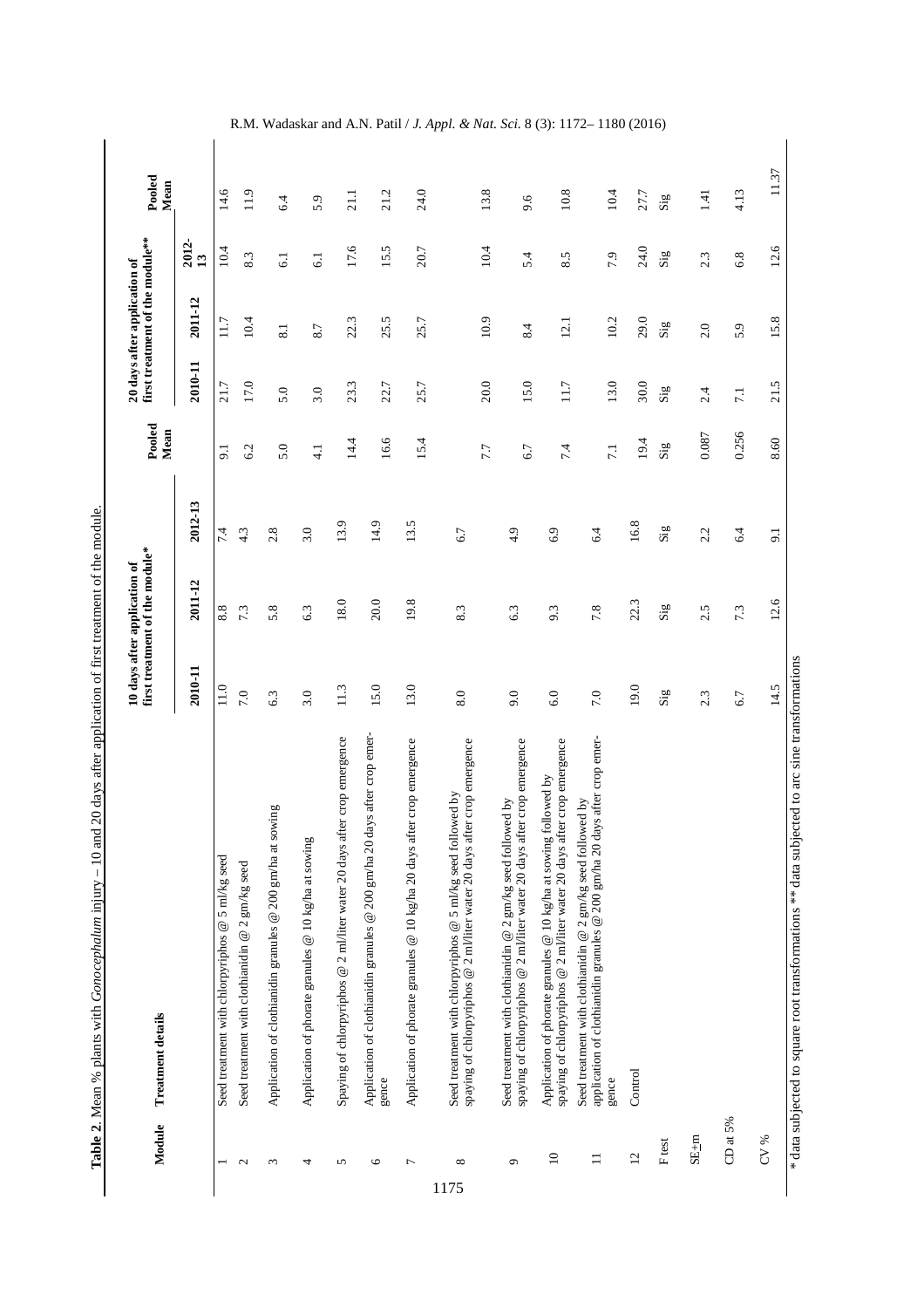| ;<br>;           |
|------------------|
|                  |
|                  |
|                  |
|                  |
|                  |
|                  |
| <br> }<br> }     |
|                  |
|                  |
| I                |
|                  |
| .<br>.<br>.<br>. |
| $\frac{1}{2}$    |
|                  |
|                  |
|                  |
| j                |
|                  |
|                  |
|                  |
|                  |
| i                |
| ׇ֚֡֡֡            |
| ֦<br>-<br>[      |

|                      | Module  | <b>Treatment details</b>                                                                                                                               |                          | first treatment of the module*<br>10 days after application of |                          | Pooled<br>Mean          |                 | first treatment of the module**<br>20 days after application of |                                         | Pooled<br>Mean          |                                                                               |
|----------------------|---------|--------------------------------------------------------------------------------------------------------------------------------------------------------|--------------------------|----------------------------------------------------------------|--------------------------|-------------------------|-----------------|-----------------------------------------------------------------|-----------------------------------------|-------------------------|-------------------------------------------------------------------------------|
|                      |         |                                                                                                                                                        | 2010-11                  | 2011-12                                                        | 2012-13                  |                         | 2010-11         | 2011-12                                                         | 2012-<br>$\overline{13}$                |                         |                                                                               |
|                      |         | Seed treatment with chlorpyriphos $@$ 5 ml/kg seed                                                                                                     | 11.0                     | 8.8                                                            | 7.4                      | 9.1                     | 21.7            | 11.7                                                            | 10.4                                    | 14.6                    |                                                                               |
| $\mathbf{\Omega}$    |         | Seed treatment with clothianidin @ 2 gm/kg seed                                                                                                        | 7.0                      | 7.3                                                            | 4.3                      | 6.2                     | 17.0            | 10.4                                                            | 8.3                                     | 11.9                    |                                                                               |
| $\epsilon$           |         | Application of clothianidin granules @ 200 gm/ha at sowing                                                                                             | 6.3                      | 5.8                                                            | 2.8                      | 5.0                     | 5.0             | 8.1                                                             | $\overline{61}$                         | 6.4                     |                                                                               |
| 4                    |         | Application of phorate granules @ 10 kg/ha at sowing                                                                                                   | 3.0                      | 6.3                                                            | 3.0                      | $\frac{1}{4}$           | 3.0             | 8.7                                                             | 6.1                                     | 5.9                     |                                                                               |
| 5                    |         | crop emergence<br>Spaying of chlorpyriphos @ 2 ml/liter water 20 days after                                                                            | 11.3                     | 18.0                                                           | 13.9                     | 14.4                    | 23.3            | 22.3                                                            | 17.6                                    | 21.1                    |                                                                               |
| $\circ$              |         | Application of clothianidin granules @ 200 gm/ha 20 days after crop emer-<br>gence                                                                     | 15.0                     | 20.0                                                           | 14.9                     | 16.6                    | 22.7            | 25.5                                                            | 15.5                                    | 21.2                    |                                                                               |
| ↽                    |         | crop emergence<br>Application of phorate granules @ 10 kg/ha 20 days after                                                                             | 13.0                     | 19.8                                                           | 13.5                     | 15.4                    | 25.7            | 25.7                                                            | 20.7                                    | 24.0                    |                                                                               |
| ${}^{\circ}$<br>1175 |         | crop emergence<br>ved by<br>Seed treatment with chlorpyriphos $@$ 5 ml/kg seed follow<br>spaying of chlorpyriphos @ 2 ml/liter water 20 days after     | 8.0                      | 8.3                                                            | 6.7                      | 7.7                     | 20.0            | 10.9                                                            | 10.4                                    | 13.8                    | R.M. Wadaskar and A.N. Patil / J. Appl. & Nat. Sci. 8 (3): $11/2-1180$ (2016) |
| $\sigma$             |         | crop emergence<br>Seed treatment with clothianidin @ 2 gm/kg seed followed by<br>spaying of chlorpyriphos @ 2 ml/liter water 20 days after             | 9.0                      | 6.3                                                            | 4.9                      | 6.7                     | 15.0            | 8.4                                                             | 5.4                                     | 9.6                     |                                                                               |
| $\overline{10}$      |         | crop emergence<br>lowed by<br>Application of phorate granules $@$ 10 kg/ha at sowing fol<br>spaying of chlorpyriphos @ 2 ml/liter water 20 days after  | 6.0                      | 9.3                                                            | 6.9                      | 7.4                     | 11.7            | 12.1                                                            | 8.5                                     | 10.8                    |                                                                               |
| $\Box$               |         | after crop emer-<br>Seed treatment with clothianidin $@$ 2 gm/kg seed followed by<br>application of clothianidin granules @ 200 gm/ha 20 days<br>gence | 7.0                      | 7.8                                                            | 6.4                      | $\overline{7.1}$        | 13.0            | 10.2                                                            | 7.9                                     | 10.4                    |                                                                               |
| $\overline{c}$       |         | Control                                                                                                                                                | 19.0                     | 22.3                                                           | 16.8                     | 19.4                    | 30.0            | 29.0                                                            | 24.0                                    | 27.7                    |                                                                               |
|                      | F test  |                                                                                                                                                        | $\mathrm{Si}_\mathrm{g}$ | $\mathbf{Si}^{\mathbf{c}}$                                     | $\mathrm{Si}_\mathrm{g}$ | $\mathbf{Si}\mathbf{g}$ | $\mathbf{Sig}$  | $\mathbf{S}^{\mathrm{iso}}$                                     | $\mathbf{S}^{\mathbf{ig}}_{\mathbf{g}}$ | $\mathrm{Si}\mathrm{g}$ |                                                                               |
|                      | $SE+m$  |                                                                                                                                                        | 2.3                      | 2.5                                                            | 2.2                      | 0.087                   | 2.4             | 2.0                                                             | 2.3                                     | 1.41                    |                                                                               |
|                      | CDat 5% |                                                                                                                                                        | 6.7                      | 7.3                                                            | 6.4                      | 0.256                   | $\overline{71}$ | 5.9                                                             | 6.8                                     | 4.13                    |                                                                               |
|                      | $CV\%$  |                                                                                                                                                        | 14.5                     | 12.6                                                           | 9.1                      | 8.60                    | 21.5            | 15.8                                                            | 12.6                                    | 11.37                   |                                                                               |
|                      |         | * data subjected to square root transformations ** data subjected to arc sine transformations                                                          |                          |                                                                |                          |                         |                 |                                                                 |                                         |                         |                                                                               |

R.M. Wadaskar and A.N. Patil / *J. Appl. & Nat. Sci.* 8 (3): 1172– 1180 (2016)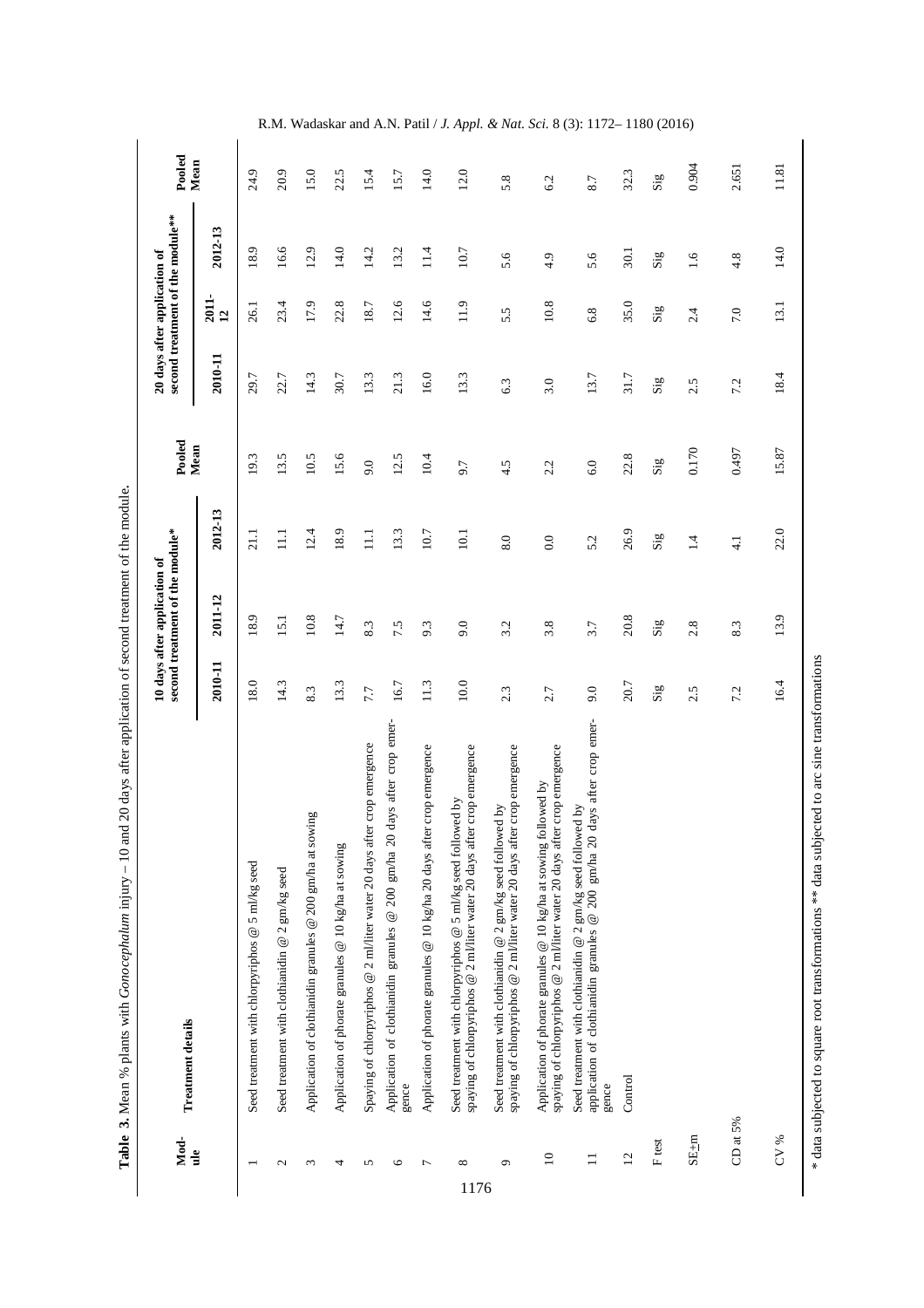Table 3. Mean % plants with Gonocephalum injury - 10 and 20 days after application of second treatment of the module. **Table 3.** Mean % plants with *Gonocephalum* injury – 10 and 20 days after application of second treatment of the module**.** 

|      | Mod-            | <b>Treatment details</b>                                                                                                                               |                                | second treatment of the module*<br>10 days after application of |                                | Pooled                  | 20 days after application of   |                         | second treatment of the module <sup>**</sup> | Pooled                  |
|------|-----------------|--------------------------------------------------------------------------------------------------------------------------------------------------------|--------------------------------|-----------------------------------------------------------------|--------------------------------|-------------------------|--------------------------------|-------------------------|----------------------------------------------|-------------------------|
|      | $\frac{1}{2}$   |                                                                                                                                                        | 2010-11                        | 2011-12                                                         | 2012-13                        | Mean                    | 2010-11                        | $\frac{2011}{12}$       | 2012-13                                      | Mean                    |
|      |                 | Seed treatment with chlorpyriphos @ 5 ml/kg seed                                                                                                       | 18.0                           | 18.9                                                            | 21.1                           | 19.3                    | 29.7                           | 26.1                    | 18.9                                         | 24.9                    |
|      | $\sim$          | Seed treatment with clothianidin $@$ 2 gm/kg seed                                                                                                      | 14.3                           | 15.1                                                            | $\Xi$                          | 13.5                    | 22.7                           | 23.4                    | 16.6                                         | 20.9                    |
|      | $\epsilon$      | Application of clothianidin granules @ 200 gm/ha at sowing                                                                                             | 8.3                            | 10.8                                                            | 12.4                           | 10.5                    | 14.3                           | 17.9                    | 12.9                                         | 15.0                    |
|      | 4               | Application of phorate granules @ 10 kg/ha at sowing                                                                                                   | 13.3                           | 14.7                                                            | 18.9                           | 15.6                    | 30.7                           | 22.8                    | 14.0                                         | 22.5                    |
|      | 5               | Spaying of chlorpyriphos @ 2 ml/liter water 20 days after crop emergence                                                                               | 7.7                            | 8.3                                                             | $\Xi$                          | 9.0                     | 13.3                           | 18.7                    | 14.2                                         | 15.4                    |
|      | $\circ$         | days after crop emer-<br>Application of clothianidin granules @ 200 gm/ha 20<br>gence                                                                  | 16.7                           | 7.5                                                             | 13.3                           | 12.5                    | 21.3                           | 12.6                    | 13.2                                         | 15.7                    |
|      | $\overline{ }$  | Application of phorate granules @ 10 kg/ha 20 days after crop emergence                                                                                | 11.3                           | 9.3                                                             | 10.7                           | 10.4                    | 16.0                           | 14.6                    | 11.4                                         | 14.0                    |
| 1176 | $\infty$        | spaying of chlorpyriphos @ 2 ml/liter water 20 days after crop emergence<br>Seed treatment with chlorpyriphos $@$ 5 ml/kg seed followed by             | 10.0                           | 9.0                                                             | 10.1                           | 9.7                     | 13.3                           | 11.9                    | 10.7                                         | 12.0                    |
|      | $\sigma$        | spaying of chlorpyriphos @ 2 ml/liter water 20 days after crop emergence<br>Seed treatment with clothianidin @ 2 gm/kg seed followed by                | 2.3                            | 3.2                                                             | 8.0                            | 4.5                     | 6.3                            | 5.5                     | 5.6                                          | 5.8                     |
|      | $\overline{10}$ | spaying of chlorpyriphos @ 2 ml/liter water 20 days after crop emergence<br>Application of phorate granules $@$ 10 kg/ha at sowing followed by         | 2.7                            | 3.8                                                             | 0.0                            | 2.2                     | 3.0                            | 10.8                    | 4.9                                          | 6.2                     |
|      | $\Box$          | days after crop emer-<br>Seed treatment with clothianidin @ 2 gm/kg seed followed by application of clothianidin granules @ 200 gm/ha 20 days<br>gence | 9.0                            | 3.7                                                             | 5.2                            | 6.0                     | 13.7                           | 6.8                     | 5.6                                          | 8.7                     |
|      | $\overline{2}$  | Control                                                                                                                                                | 20.7                           | 20.8                                                            | 26.9                           | 22.8                    | 31.7                           | 35.0                    | 30.1                                         | 32.3                    |
|      | F test          |                                                                                                                                                        | $\overline{\text{Si}}\text{g}$ | $\mathbf{Sig}$                                                  | $\overline{\text{Si}}\text{g}$ | $\mathbf{Si}\mathbf{g}$ | $\overline{\text{Si}}\text{g}$ | $\mathbf{Si}\mathbf{g}$ | $\overline{\text{Si}}\text{g}$               | $\overline{\text{sig}}$ |
|      | $SE+m$          |                                                                                                                                                        | 2.5                            | 2.8                                                             | 1.4                            | 0.170                   | 2.5                            | 2.4                     | 1.6                                          | 0.904                   |
|      | CD at 5%        |                                                                                                                                                        | 7.2                            | 8.3                                                             | $\frac{1}{4}$                  | 0.497                   | 7.2                            | $7.0\,$                 | 4.8                                          | 2.651                   |
|      | CV %            |                                                                                                                                                        | 16.4                           | 13.9                                                            | 22.0                           | 15.87                   | 18.4                           | 13.1                    | 14.0                                         | $11.81\,$               |

\* data subjected to square root transformations \*\* data subjected to arc sine transformations

\* data subjected to square root transformations \*\* data subjected to arc sine transformations

R.M. Wadaskar and A.N. Patil / *J. Appl. & Nat. Sci.* 8 (3): 1172– 1180 (2016)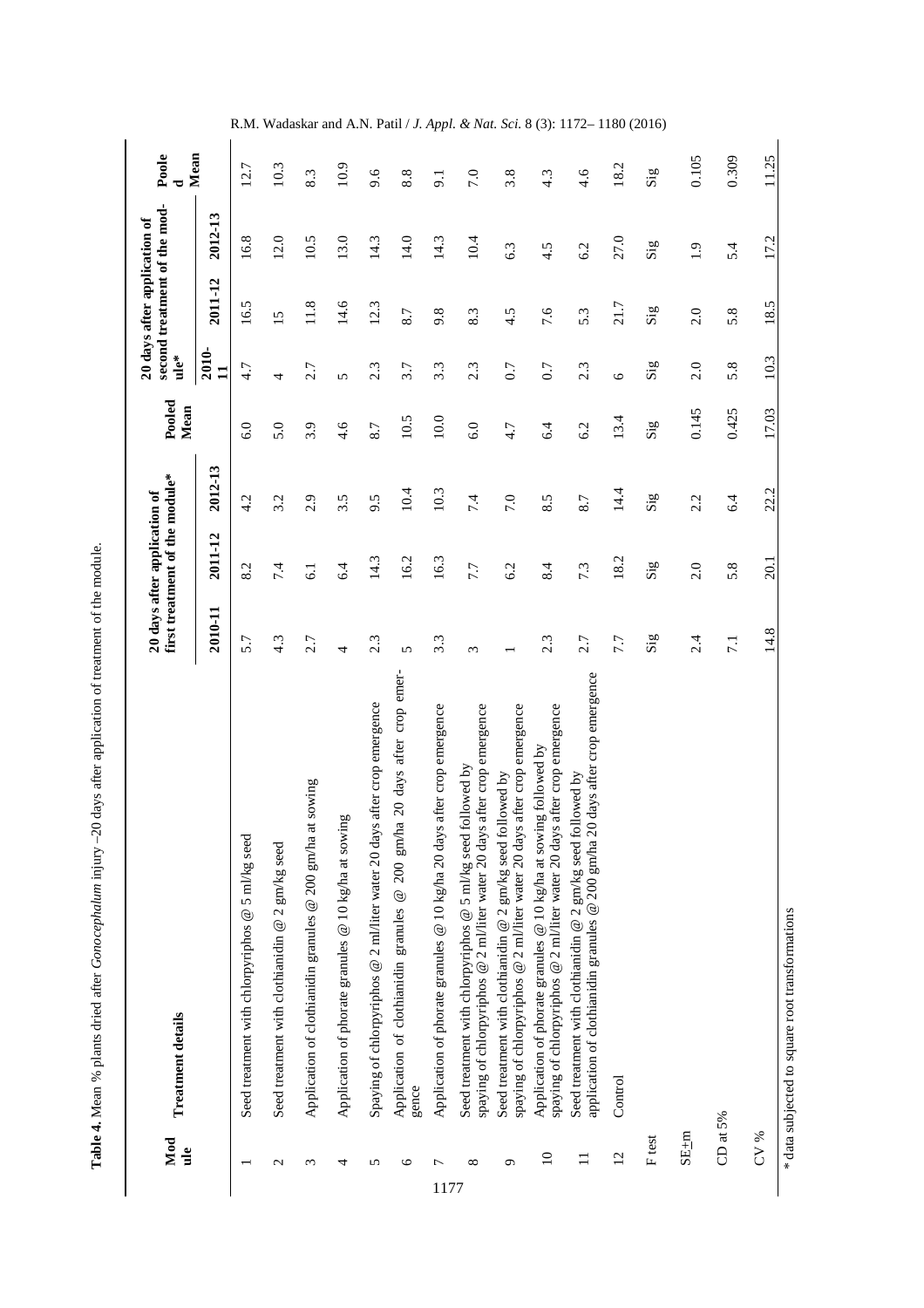Table 4. Mean % plants dried after Gonocephalum injury -20 days after application of treatment of the module. **Table 4.** Mean % plants dried after *Gonocephalum* injury –20 days after application of treatment of the module.

|      | Mod<br>$\mathbf{d}$ | <b>Treatment details</b>                                                                                                                          |                            | first treatment of the module*<br>20 days after application of |                             | Pooled<br>Mean | $\mathbf{u}$ le*            | second treatment of the mod-<br>20 days after application of |                | Mean<br>Poole        |
|------|---------------------|---------------------------------------------------------------------------------------------------------------------------------------------------|----------------------------|----------------------------------------------------------------|-----------------------------|----------------|-----------------------------|--------------------------------------------------------------|----------------|----------------------|
|      |                     |                                                                                                                                                   | 2010-11                    | 2011-12                                                        | 2012-13                     |                | 2010-<br>$\mathbf{1}$       | 2011-12                                                      | 2012-13        |                      |
|      |                     | Seed treatment with chlorpyriphos @ 5 ml/kg seed                                                                                                  | 5.7                        | 8.2                                                            | 4.2                         | 6.0            | 4.7                         | 16.5                                                         | 16.8           | 12.7                 |
|      | $\mathbf{c}$        | Seed treatment with clothianidin $@$ 2 gm/kg seed                                                                                                 | $4.\overline{3}$           | 7.4                                                            | 3.2                         | 5.0            | 4                           | $\overline{15}$                                              | 12.0           | 10.3                 |
|      | $\epsilon$          | Application of clothianidin granules @ 200 gm/ha at sowing                                                                                        | 2.7                        | 61                                                             | 2.9                         | 3.9            | 2.7                         | 11.8                                                         | 10.5           | 8.3                  |
|      | 4                   | Application of phorate granules @ 10 kg/ha at sowing                                                                                              | 4                          | 6.4                                                            | 3.5                         | 4.6            | 5                           | 14.6                                                         | 13.0           | 10.9                 |
|      | 5                   | after crop emergence<br>Spaying of chlorpyriphos @ 2 ml/liter water 20 days                                                                       | 2.3                        | 14.3                                                           | 9.5                         | 8.7            | 2.3                         | 12.3                                                         | 14.3           | 9.6                  |
|      | 6                   | 20 days after crop emer-<br>Application of clothianidin granules @ 200 gm/ha<br>gence                                                             | $\sqrt{2}$                 | 16.2                                                           | 10.4                        | 10.5           | 3.7                         | 8.7                                                          | 14.0           | 8.8                  |
| 1177 | ∼                   | after crop emergence<br>Application of phorate granules @ 10 kg/ha 20 days                                                                        | $3.\overline{3}$           | 16.3                                                           | 10.3                        | $10.0$         | 3.3                         | 9.8                                                          | 14.3           | . .<br>9.1           |
|      | $\infty$            | spaying of chlorpyriphos @ 2 ml/liter water 20 days after crop emergence<br>Seed treatment with chlorpyriphos $@$ 5 ml/kg seed followed by        | 3                          | 7.7                                                            | 7.4                         | 6.0            | 2.3                         | 8.3                                                          | 10.4           | 7.0                  |
|      | $\circ$             | spaying of chlorpyriphos @ 2 ml/liter water 20 days after crop emergence<br>Seed treatment with clothianidin $@$ 2 gm/kg seed followed by         |                            | 6.2                                                            | 7.0                         | 4.7            | 0.7                         | 4.5                                                          | 6.3            | 3.8                  |
|      | $\overline{10}$     | after crop emergence<br>Application of phorate granules $@$ 10 kg/ha at sowing followed by<br>spaying of chlorpyriphos @ 2 ml/liter water 20 days | 2.3                        | 8.4                                                            | 8.5                         | 6.4            | 0.7                         | 7.6                                                          | 4.5            | 4.3                  |
|      | $\equiv$            | application of clothianidin granules @ 200 gm/ha 20 days after crop emergence<br>Seed treatment with clothianidin $@$ 2 gm/kg seed followed by    | 2.7                        | 7.3                                                            | 8.7                         | 6.2            | 2.3                         | 5.3                                                          | 6.2            | 4.6                  |
|      | $\overline{c}$      | Control                                                                                                                                           | 7.7                        | 18.2                                                           | 14.4                        | 13.4           | $\circ$                     | 21.7                                                         | 27.0           | 18.2                 |
|      | F test              |                                                                                                                                                   | $\mathrm{Si}^{\mathrm{g}}$ | $\mathrm{Sig}$                                                 | $\mathop{\rm Sig}\nolimits$ | $\mathrm{Sig}$ | $\mathrm{Si}_{\mathcal{B}}$ | $\mathrm{Sig}$                                               | $\mathrm{Sig}$ | $\operatorname{Sig}$ |
|      | $SE+m$              |                                                                                                                                                   | 2.4                        | 2.0                                                            | 2.2                         | 0.145          | 2.0                         | 2.0                                                          | $\ddot{1}$ .   | 0.105                |
|      | CD at 5%            |                                                                                                                                                   | $\overline{7.1}$           | 5.8                                                            | 6.4                         | 0.425          | 5.8                         | 5.8                                                          | 5.4            | 0.309                |
|      | CV %                |                                                                                                                                                   | 14.8                       | 20.1                                                           | 22.2                        | 17.03          | 10.3                        | 18.5                                                         | 17.2           | 11.25                |
|      |                     | * data subjected to square root transformations                                                                                                   |                            |                                                                |                             |                |                             |                                                              |                |                      |

R.M. Wadaskar and A.N. Patil / *J. Appl. & Nat. Sci.* 8 (3): 1172– 1180 (2016)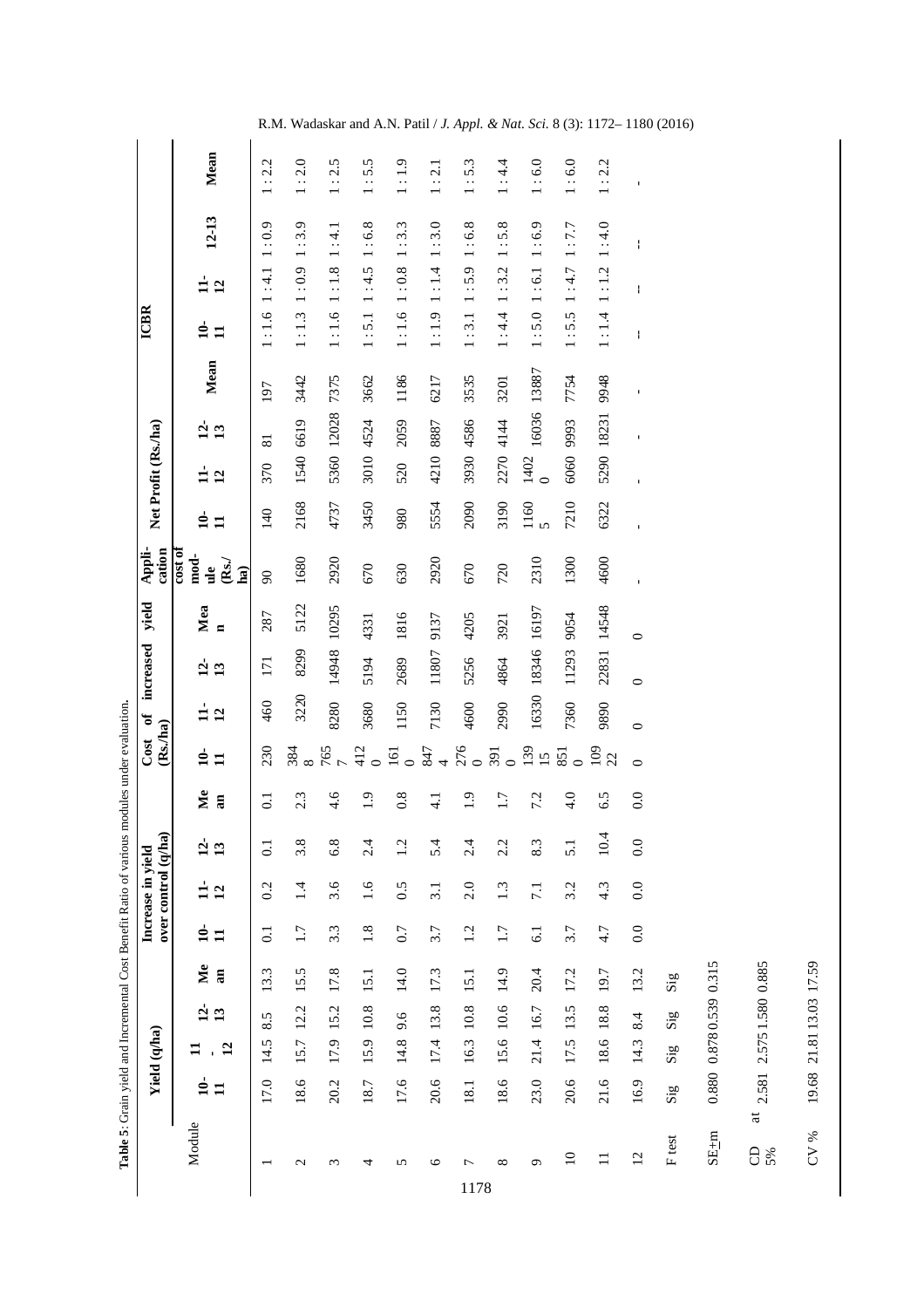|                        |                         |                 |                    |          |                      |                                          | Table 5: Grain yield and Incremental Cost Benefit Ratio of various modules under evaluation. |                |                               |                   |                    |                       |                                                                              |                               |                     |                 |       |                   |                                   |           |         |
|------------------------|-------------------------|-----------------|--------------------|----------|----------------------|------------------------------------------|----------------------------------------------------------------------------------------------|----------------|-------------------------------|-------------------|--------------------|-----------------------|------------------------------------------------------------------------------|-------------------------------|---------------------|-----------------|-------|-------------------|-----------------------------------|-----------|---------|
|                        |                         | Yield (q/ha)    |                    |          |                      | over control (q/ha)<br>Increase in yield |                                                                                              |                | (Rs./ha)<br>Cost              | ð                 | increased          | yield                 | cation<br>Appli-                                                             |                               | Net Profit (Rs./ha) |                 |       | <b>ICBR</b>       |                                   |           |         |
| Module                 | ≘<br>Ξ                  | $\overline{12}$ | 9<br>$\mathbf{13}$ | Me<br>an | ุ่≘่<br>$\mathbf{H}$ | $\overline{12}$<br>ᆸ                     | $\dot{a}$<br>13                                                                              | Me<br>a        | $\frac{1}{2}$<br>$\mathbf{1}$ | $\mathbf{r}$<br>ᄇ | $\mathbf{c}$<br>13 | Mea<br>$\blacksquare$ | $\frac{10}{100}$<br>$_{\rm mod}$ .<br>$\mathbf{Rs.}$<br>$\frac{1}{2}$<br>ha) | $\frac{1}{2}$<br>$\mathbf{1}$ | $\mathbf{12}$<br>ᄇ  | $\frac{1}{13}$  | Mean  | ≜<br>$\mathbf{H}$ | Ė<br>$\overline{12}$              | $12 - 13$ | Mean    |
|                        | 17.0                    | 14.5            | 5<br>∞ं            | 13.3     | $\overline{0}$ .     | 0.2                                      | $\overline{c}$                                                                               | $\overline{C}$ | 230                           | 460               | 171                | 287                   | $\infty$                                                                     | 140                           | 370                 | $\overline{81}$ | 197   | 1:1.6             | 1:4.1                             | 1:0.9     | 1:2.2   |
| $\mathbf{c}$           | 18.6                    | 15.7            | 12.2               | 15.5     | 1.7                  | 1.4                                      | 3.8                                                                                          | 2.3            | 384                           | 3220              | 8299               | 5122                  | 1680                                                                         | 2168                          | 1540                | 6619            | 3442  | 1:1.3             | 1:0.9                             | 1:3.9     | $1:2.0$ |
| $\epsilon$             | 20.2                    | 17.9 15.2       |                    | 17.8     | $3.\overline{3}$     | 3.6                                      | 6.8                                                                                          | 4.6            | 765                           | 8280              | 14948              | 10295                 | 2920                                                                         | 4737                          | 5360 12028          |                 | 7375  | 1:1.6             | 1:1.8                             | 1:4.1     | 1:2.5   |
| 4                      | 18.7                    | 15.9            | 10.8               | 15.1     | 1.8                  | 1.6                                      | 2.4                                                                                          | $\ddot{1}$ .   | 412<br>$\circ$                | 3680              | 5194               | 4331                  | 670                                                                          | 3450                          | 3010                | 4524            | 3662  | 1:5.1             | 1:4.5                             | 1:6.8     | 1:5.5   |
| 5                      | 17.6                    | 14.8            | 9.6                | 14.0     | 0.7                  | 0.5                                      | 1.2                                                                                          | 0.8            | $\overline{161}$<br>$\circ$   | 1150              | 2689               | 1816                  | 630                                                                          | 980                           | 520                 | 2059            | 1186  | 1:1.6             | 1:0.8                             | 1:3.3     | 1:1.9   |
| $\circ$                | 20.6                    | 17.4            | 13.8               | 17.3     | 3.7                  | 3.1                                      | 5.4                                                                                          | $-1$           | 847<br>$\overline{a}$         | 7130              | 11807              | 9137                  | 2920                                                                         | 5554                          | 4210                | 8887            | 6217  | 1:1.9             | 1:1.4                             | 1:3.0     | 1:2.1   |
| $\overline{ }$<br>1178 | 18.1                    | 16.3            | 10.8               | 15.1     | 1.2                  | 2.0                                      | 2.4                                                                                          | $\frac{0}{1}$  | 276<br>$\circ$                | 4600              | 5256               | 4205                  | 670                                                                          | 2090                          | 3930                | 4586            | 3535  | 1:3.1             | : 5.9<br>$\overline{\phantom{0}}$ | 1:6.8     | 1:5.3   |
| ${}^{\circ}$           | 18.6                    | 15.6            | $10.6\,$           | 14.9     | 1.7                  | 1.3                                      | 2.2                                                                                          | 1.7            | 391<br>$\circ$                | 2990              | 4864               | 3921                  | 720                                                                          | 3190                          | 2270                | 4144            | 3201  | 1:4.4             | $\overline{\phantom{0}}$<br>1:3.2 | .5.8      | 1:4.4   |
| $\sigma$               | 23.0                    | 21.4            | 16.7               | 20.4     | 6.1                  | $\overline{7.1}$                         | 8.3                                                                                          | 7.2            | 139<br>15                     | 16330             | 18346              | 16197                 | 2310                                                                         | $\frac{1160}{5}$              | 1402<br>$\circ$     | 16036           | 13887 | 1:5.0             | $1:6.1$                           | 1:6.9     | 1:6.0   |
| $\square$              | 20.6                    | 17.5            | 13.5               | 17.2     | 3.7                  | 3.2                                      | $\overline{51}$                                                                              | 4.0            | 851<br>$\circ$                | 7360              | 11293              | 9054                  | 1300                                                                         | 7210                          | 6060                | 9993            | 7754  | 1:5.5             | 1:4.7                             | $1:7.7$   | 1:6.0   |
| $\equiv$               | 21.6                    | 18.6 18.8       |                    | 19.7     | 4.7                  | 4.3                                      | 4<br>$\dot{Q}$                                                                               | 6.5            | $\frac{1}{9}$<br>22           | 9890              | 22831              | 14548                 | 4600                                                                         | 6322                          | 5290 18231          |                 | 8766  | 1:1.4             | 1:1.2                             | 1:4.0     | 1:2.2   |
| $\overline{c}$         | 16.9                    | 14.3            | 8.4                | 13.2     | 0.0                  | 0.0                                      | 0.0                                                                                          | 0.0            | $\circ$                       | $\bullet$         | $\circ$            | $\circ$               |                                                                              |                               | $\mathbf I$         | ı               | ı,    | $\mathbf{I}$      | ł<br>$\mathbf{I}$                 |           | f,      |
| F test                 | $\mathrm{Si}\mathrm{g}$ | $\mathrm{Sig}$  | $\mathrm{Sig}$     | Sig      |                      |                                          |                                                                                              |                |                               |                   |                    |                       |                                                                              |                               |                     |                 |       |                   |                                   |           |         |
| $SE+m$                 | 0.880                   |                 | 0.8780.539         | 0.315    |                      |                                          |                                                                                              |                |                               |                   |                    |                       |                                                                              |                               |                     |                 |       |                   |                                   |           |         |
| 8<br>5%                | 2.581<br>$\overline{a}$ |                 | 2.5751.5800.885    |          |                      |                                          |                                                                                              |                |                               |                   |                    |                       |                                                                              |                               |                     |                 |       |                   |                                   |           |         |

R.M. Wadaskar and A.N. Patil / *J. Appl. & Nat. Sci.* 8 (3): 1172– 1180 (2016)

 $CV$  % 19.68 21.81 13.03 17.59

19.68 21.81 13.03 17.59

 $\rm{CV}$  %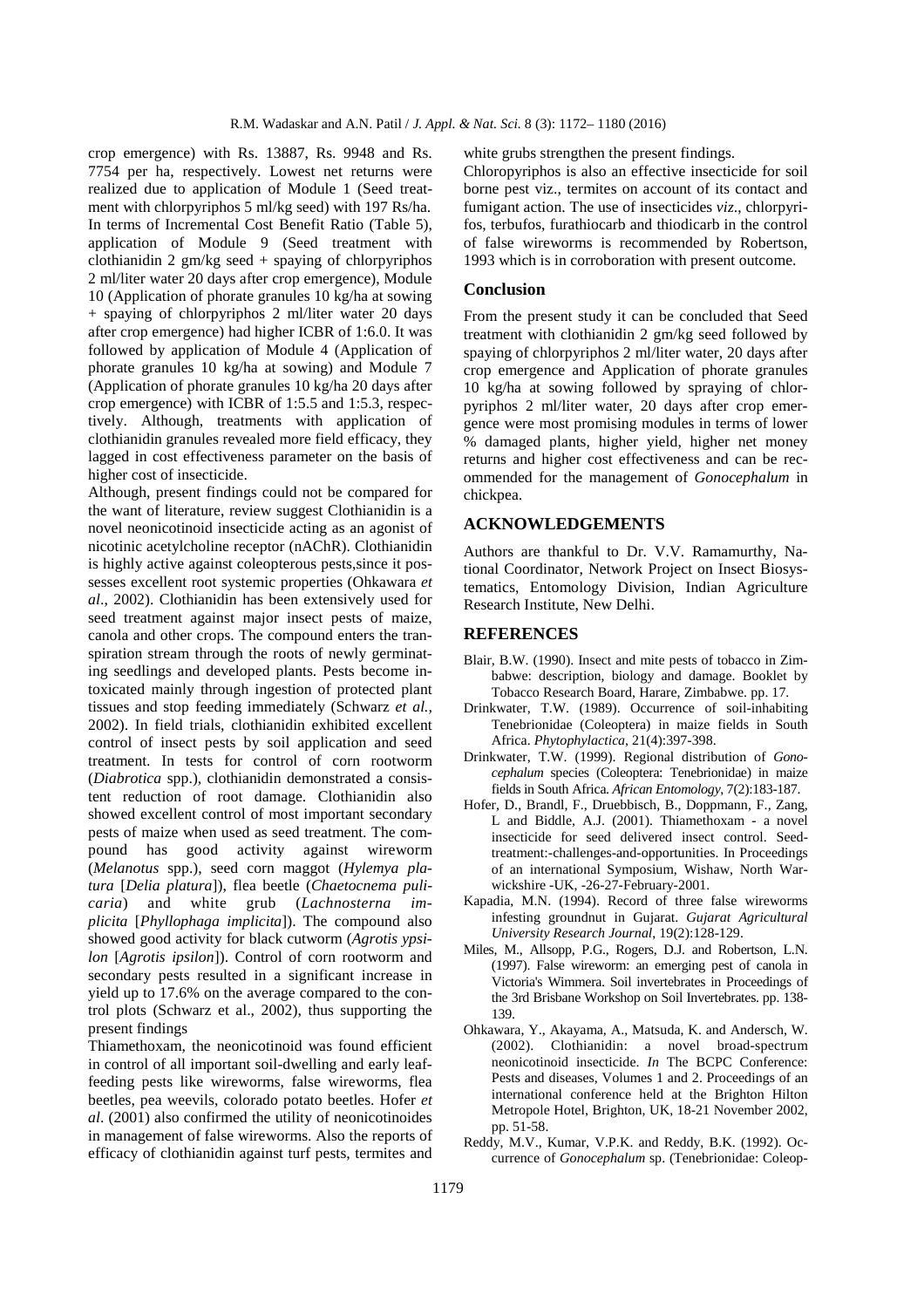crop emergence) with Rs. 13887, Rs. 9948 and Rs. 7754 per ha, respectively. Lowest net returns were realized due to application of Module 1 (Seed treatment with chlorpyriphos 5 ml/kg seed) with 197 Rs/ha. In terms of Incremental Cost Benefit Ratio (Table 5), application of Module 9 (Seed treatment with clothianidin 2  $gm/kg$  seed + spaying of chlorpyriphos 2 ml/liter water 20 days after crop emergence), Module 10 (Application of phorate granules 10 kg/ha at sowing + spaying of chlorpyriphos 2 ml/liter water 20 days after crop emergence) had higher ICBR of 1:6.0. It was followed by application of Module 4 (Application of phorate granules 10 kg/ha at sowing) and Module 7 (Application of phorate granules 10 kg/ha 20 days after crop emergence) with ICBR of 1:5.5 and 1:5.3, respectively. Although, treatments with application of clothianidin granules revealed more field efficacy, they lagged in cost effectiveness parameter on the basis of higher cost of insecticide.

Although, present findings could not be compared for the want of literature, review suggest Clothianidin is a novel neonicotinoid insecticide acting as an agonist of nicotinic acetylcholine receptor (nAChR). Clothianidin is highly active against coleopterous pests,since it possesses excellent root systemic properties (Ohkawara *et al*., 2002). Clothianidin has been extensively used for seed treatment against major insect pests of maize, canola and other crops. The compound enters the transpiration stream through the roots of newly germinating seedlings and developed plants. Pests become intoxicated mainly through ingestion of protected plant tissues and stop feeding immediately (Schwarz *et al.,* 2002). In field trials, clothianidin exhibited excellent control of insect pests by soil application and seed treatment. In tests for control of corn rootworm (*Diabrotica* spp.), clothianidin demonstrated a consistent reduction of root damage. Clothianidin also showed excellent control of most important secondary pests of maize when used as seed treatment. The compound has good activity against wireworm (*Melanotus* spp.), seed corn maggot (*Hylemya platura* [*Delia platura*]), flea beetle (*Chaetocnema pulicaria*) and white grub (*Lachnosterna implicita* [*Phyllophaga implicita*]). The compound also showed good activity for black cutworm (*Agrotis ypsilon* [*Agrotis ipsilon*]). Control of corn rootworm and secondary pests resulted in a significant increase in yield up to 17.6% on the average compared to the control plots (Schwarz et al., 2002), thus supporting the present findings

Thiamethoxam, the neonicotinoid was found efficient in control of all important soil-dwelling and early leaffeeding pests like wireworms, false wireworms, flea beetles, pea weevils, colorado potato beetles. Hofer *et al*. (2001) also confirmed the utility of neonicotinoides in management of false wireworms. Also the reports of efficacy of clothianidin against turf pests, termites and white grubs strengthen the present findings.

Chloropyriphos is also an effective insecticide for soil borne pest viz., termites on account of its contact and fumigant action. The use of insecticides *viz*., chlorpyrifos, terbufos, furathiocarb and thiodicarb in the control of false wireworms is recommended by Robertson, 1993 which is in corroboration with present outcome.

#### **Conclusion**

From the present study it can be concluded that Seed treatment with clothianidin 2 gm/kg seed followed by spaying of chlorpyriphos 2 ml/liter water, 20 days after crop emergence and Application of phorate granules 10 kg/ha at sowing followed by spraying of chlorpyriphos 2 ml/liter water, 20 days after crop emergence were most promising modules in terms of lower % damaged plants, higher yield, higher net money returns and higher cost effectiveness and can be recommended for the management of *Gonocephalum* in chickpea.

### **ACKNOWLEDGEMENTS**

Authors are thankful to Dr. V.V. Ramamurthy, National Coordinator, Network Project on Insect Biosystematics, Entomology Division, Indian Agriculture Research Institute, New Delhi.

#### **REFERENCES**

- Blair, B.W. (1990). Insect and mite pests of tobacco in Zimbabwe: description, biology and damage. Booklet by Tobacco Research Board, Harare, Zimbabwe. pp. 17.
- Drinkwater, T.W. (1989). Occurrence of soil-inhabiting Tenebrionidae (Coleoptera) in maize fields in South Africa. *Phytophylactica*, 21(4):397-398.
- Drinkwater, T.W. (1999). Regional distribution of *Gonocephalum* species (Coleoptera: Tenebrionidae) in maize fields in South Africa. *African Entomology*, 7(2):183-187.
- Hofer, D., Brandl, F., Druebbisch, B., Doppmann, F., Zang, L and Biddle, A.J. (2001). Thiamethoxam - a novel insecticide for seed delivered insect control. Seedtreatment:-challenges-and-opportunities. In Proceedings of an international Symposium, Wishaw, North Warwickshire -UK, -26-27-February-2001.
- Kapadia, M.N. (1994). Record of three false wireworms infesting groundnut in Gujarat. *Gujarat Agricultural University Research Journal*, 19(2):128-129.
- Miles, M., Allsopp, P.G., Rogers, D.J. and Robertson, L.N. (1997). False wireworm: an emerging pest of canola in Victoria's Wimmera. Soil invertebrates in Proceedings of the 3rd Brisbane Workshop on Soil Invertebrates. pp. 138- 139.
- Ohkawara, Y., Akayama, A., Matsuda, K. and Andersch, W. (2002). Clothianidin: a novel broad-spectrum neonicotinoid insecticide. *In* The BCPC Conference: Pests and diseases, Volumes 1 and 2. Proceedings of an international conference held at the Brighton Hilton Metropole Hotel, Brighton, UK, 18-21 November 2002, pp. 51-58.
- Reddy, M.V., Kumar, V.P.K. and Reddy, B.K. (1992). Occurrence of *Gonocephalum* sp. (Tenebrionidae: Coleop-